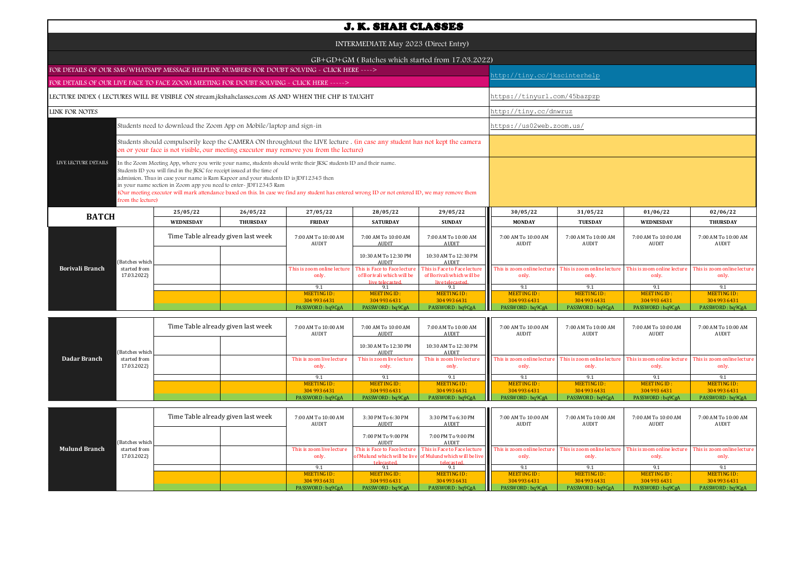|                                                                                                                                                                                                                                                                                                                                                                                                                                                                                                                                                           |                                                                           |                  |                                    |                                      | <b>J. K. SHAH CLASSES</b>                                                    |                                                                              |                                                                                                                                                                                                                                                                                                                                                                                                                                                                                                                                                                             |                                      |                                      |                                      |  |
|-----------------------------------------------------------------------------------------------------------------------------------------------------------------------------------------------------------------------------------------------------------------------------------------------------------------------------------------------------------------------------------------------------------------------------------------------------------------------------------------------------------------------------------------------------------|---------------------------------------------------------------------------|------------------|------------------------------------|--------------------------------------|------------------------------------------------------------------------------|------------------------------------------------------------------------------|-----------------------------------------------------------------------------------------------------------------------------------------------------------------------------------------------------------------------------------------------------------------------------------------------------------------------------------------------------------------------------------------------------------------------------------------------------------------------------------------------------------------------------------------------------------------------------|--------------------------------------|--------------------------------------|--------------------------------------|--|
| INTERMEDIATE May 2023 (Direct Entry)                                                                                                                                                                                                                                                                                                                                                                                                                                                                                                                      |                                                                           |                  |                                    |                                      |                                                                              |                                                                              |                                                                                                                                                                                                                                                                                                                                                                                                                                                                                                                                                                             |                                      |                                      |                                      |  |
|                                                                                                                                                                                                                                                                                                                                                                                                                                                                                                                                                           |                                                                           |                  |                                    |                                      |                                                                              | GB+GD+GM (Batches which started from 17.03.2022)                             |                                                                                                                                                                                                                                                                                                                                                                                                                                                                                                                                                                             |                                      |                                      |                                      |  |
| FOR DETAILS OF OUR SMS/WHATSAPP MESSAGE HELPLINE NUMBERS FOR DOUBT SOLVING - CLICK HERE ----><br>FOR DETAILS OF OUR LIVE FACE TO FACE ZOOM MEETING FOR DOUBT SOLVING - CLICK HERE ----->                                                                                                                                                                                                                                                                                                                                                                  |                                                                           |                  |                                    |                                      |                                                                              |                                                                              |                                                                                                                                                                                                                                                                                                                                                                                                                                                                                                                                                                             |                                      |                                      |                                      |  |
|                                                                                                                                                                                                                                                                                                                                                                                                                                                                                                                                                           |                                                                           |                  |                                    |                                      |                                                                              |                                                                              |                                                                                                                                                                                                                                                                                                                                                                                                                                                                                                                                                                             |                                      |                                      |                                      |  |
| LECTURE INDEX (LECTURES WILL BE VISIBLE ON stream.jkshahclasses.com AS AND WHEN THE CHP IS TAUGHT                                                                                                                                                                                                                                                                                                                                                                                                                                                         |                                                                           |                  |                                    |                                      |                                                                              |                                                                              | nttp://tiny.cc/jkscinterhelp<br>https://tinyurl.com/45bazpzp<br>http://tiny.cc/dnwruz<br>https://us02web.zoom.us/<br>30/05/22<br>31/05/22<br>01/06/22<br><b>TUESDAY</b><br><b>MONDAY</b><br><b>WEDNESDAY</b><br>7:00 AM To 10:00 AM<br>7:00 AM To 10:00 AM<br>7:00 AM To 10:00 AM<br>AUDIT<br>AUDIT<br>AUDIT<br>This is zoom online lecture<br>This is zoom online lecture<br>This is zoom online lecture<br>only.<br>only.<br>only.<br>9.1<br>9.1<br>9.1<br><b>MEETING ID:</b><br><b>MEETING ID:</b><br><b>MEETING ID:</b><br>304 993 6431<br>304 993 6431<br>304 993 6431 |                                      |                                      |                                      |  |
| LINK FOR NOTES                                                                                                                                                                                                                                                                                                                                                                                                                                                                                                                                            |                                                                           |                  |                                    |                                      |                                                                              |                                                                              |                                                                                                                                                                                                                                                                                                                                                                                                                                                                                                                                                                             |                                      |                                      |                                      |  |
| Students need to download the Zoom App on Mobile/laptop and sign-in                                                                                                                                                                                                                                                                                                                                                                                                                                                                                       |                                                                           |                  |                                    |                                      |                                                                              |                                                                              |                                                                                                                                                                                                                                                                                                                                                                                                                                                                                                                                                                             |                                      |                                      |                                      |  |
| Students should compulsorily keep the CAMERA ON throughtout the LIVE lecture . (in case any student has not kept the camera<br>on or your face is not visible, our meeting executor may remove you from the lecture)                                                                                                                                                                                                                                                                                                                                      |                                                                           |                  |                                    |                                      |                                                                              |                                                                              |                                                                                                                                                                                                                                                                                                                                                                                                                                                                                                                                                                             |                                      |                                      |                                      |  |
| LIVE LECTURE DETAILS<br>In the Zoom Meeting App, where you write your name, students should write their JKSC students ID and their name.<br>Students ID you will find in the JKSC fee receipt issued at the time of<br>admission. Thus in case your name is Ram Kapoor and your students ID is JDF12345 then<br>in your name section in Zoom app you need to enter- JDF12345 Ram<br>(Our meeting executor will mark attendance based on this. In case we find any student has entered wrong ID or not entered ID, we may remove them<br>from the lecture) |                                                                           |                  |                                    |                                      |                                                                              |                                                                              |                                                                                                                                                                                                                                                                                                                                                                                                                                                                                                                                                                             |                                      |                                      |                                      |  |
| <b>BATCH</b>                                                                                                                                                                                                                                                                                                                                                                                                                                                                                                                                              |                                                                           | 25/05/22         | 26/05/22                           | 27/05/22                             | 28/05/22                                                                     | 29/05/22                                                                     |                                                                                                                                                                                                                                                                                                                                                                                                                                                                                                                                                                             |                                      |                                      | 02/06/22                             |  |
|                                                                                                                                                                                                                                                                                                                                                                                                                                                                                                                                                           |                                                                           | <b>WEDNESDAY</b> | <b>THURSDAY</b>                    | <b>FRIDAY</b>                        | <b>SATURDAY</b>                                                              | <b>SUNDAY</b>                                                                |                                                                                                                                                                                                                                                                                                                                                                                                                                                                                                                                                                             |                                      |                                      | <b>THURSDAY</b>                      |  |
|                                                                                                                                                                                                                                                                                                                                                                                                                                                                                                                                                           |                                                                           |                  | Time Table already given last week | 7:00 AM To 10:00 AM<br><b>AUDIT</b>  | 7:00 AM To 10:00 AM<br><b>AUDIT</b>                                          | 7:00 AM To 10:00 AM<br><b>AUDIT</b>                                          |                                                                                                                                                                                                                                                                                                                                                                                                                                                                                                                                                                             |                                      |                                      | 7:00 AM To 10:00 AM<br><b>AUDIT</b>  |  |
|                                                                                                                                                                                                                                                                                                                                                                                                                                                                                                                                                           | (Batches which                                                            |                  |                                    |                                      | 10:30 AM To 12:30 PM<br><b>AUDIT</b>                                         | 10:30 AM To 12:30 PM<br><b>AUDIT</b>                                         |                                                                                                                                                                                                                                                                                                                                                                                                                                                                                                                                                                             |                                      |                                      |                                      |  |
| Borivali Branch                                                                                                                                                                                                                                                                                                                                                                                                                                                                                                                                           | started from<br>17.03.2022)                                               |                  |                                    | This is zoom online lecture<br>only. | This is Face to Face lecture<br>of Borivali which will be<br>live telecaster | This is Face to Face lecture<br>of Borivali which will be<br>live telecaster |                                                                                                                                                                                                                                                                                                                                                                                                                                                                                                                                                                             |                                      |                                      | This is zoom online lecture<br>only. |  |
|                                                                                                                                                                                                                                                                                                                                                                                                                                                                                                                                                           |                                                                           |                  |                                    | 9.1<br>MEETING ID:                   | 9.1<br>MEETING ID:                                                           | 9.1<br>MEETING ID:                                                           |                                                                                                                                                                                                                                                                                                                                                                                                                                                                                                                                                                             |                                      |                                      | 9.1<br><b>MEETING ID:</b>            |  |
|                                                                                                                                                                                                                                                                                                                                                                                                                                                                                                                                                           |                                                                           |                  |                                    | 304 993 6431<br>PASSWORD: bq9CgA     | 304 993 6431<br>PASSWORD: bq9CgA                                             | 304 993 6431<br>PASSWORD: bq9CgA                                             | PASSWORD: bq9CgA                                                                                                                                                                                                                                                                                                                                                                                                                                                                                                                                                            | PASSWORD: bq9CgA                     | PASSWORD: bq9CgA                     | 304 993 6431<br>PASSWORD: bq9CgA     |  |
|                                                                                                                                                                                                                                                                                                                                                                                                                                                                                                                                                           | Time Table already given last week<br>7:00 AM To 10:00 AM<br><b>AUDIT</b> |                  |                                    |                                      |                                                                              | 7:00 AM To 10:00 AM<br>AUDIT                                                 | 7:00 AM To 10:00 AM<br>7:00 AM To 10:00 AM<br>AUDIT<br>AUDIT                                                                                                                                                                                                                                                                                                                                                                                                                                                                                                                |                                      | 7:00 AM To 10:00 AM<br><b>AUDIT</b>  | 7:00 AM To 10:00 AM<br>AUDIT         |  |
|                                                                                                                                                                                                                                                                                                                                                                                                                                                                                                                                                           | (Batches which                                                            |                  |                                    |                                      | 10:30 AM To 12:30 PM<br><b>AUDIT</b>                                         | 10:30 AM To 12:30 PM<br><b>AUDIT</b>                                         |                                                                                                                                                                                                                                                                                                                                                                                                                                                                                                                                                                             |                                      |                                      |                                      |  |
| Dadar Branch                                                                                                                                                                                                                                                                                                                                                                                                                                                                                                                                              | started from<br>17.03.2022)                                               |                  |                                    | This is zoom live lecture<br>only.   | This is zoom live lecture<br>only.                                           | This is zoom live lecture<br>only.                                           | This is zoom online lecture<br>only.                                                                                                                                                                                                                                                                                                                                                                                                                                                                                                                                        | This is zoom online lecture<br>only. | This is zoom online lecture<br>only. | This is zoom online lecture<br>only. |  |

| <b>Mulund Branch</b> |                             | Time Table already given last week |  | 7:00 AM To 10:00 AM<br>AUDIT       | 3:30 PM To 6:30 PM<br>AUDIT | 3:30 PM To 6:30 PM<br>AUDIT                                                                                            | 7:00 AM To 10:00 AM<br>AUDIT         | 7:00 AM To 10:00 AM<br><b>AUDIT</b>  | 7:00 AM To 10:00 AM<br><b>AUDIT</b>  | 7:00 AM To 10:00 AM<br>AUDIT         |
|----------------------|-----------------------------|------------------------------------|--|------------------------------------|-----------------------------|------------------------------------------------------------------------------------------------------------------------|--------------------------------------|--------------------------------------|--------------------------------------|--------------------------------------|
|                      | (Batches which              |                                    |  |                                    | 7:00 PM To 9:00 PM<br>AUDIT | 7:00 PM To 9:00 PM<br>AUDIT                                                                                            |                                      |                                      |                                      |                                      |
|                      | started from<br>17.03.2022) |                                    |  | This is zoom live lecture<br>only. |                             | This is Face to Face lecture This is Face to Face lecture<br>of Mulund which will be live of Mulund which will be live | This is zoom online lecture<br>only. | This is zoom online lecture<br>only. | This is zoom online lecture<br>only. | This is zoom online lecture<br>only. |
|                      |                             |                                    |  |                                    | telecasted                  | telecasted                                                                                                             |                                      |                                      |                                      |                                      |
|                      |                             |                                    |  | MEETING ID:                        | MEETING ID:                 | MEETING ID:                                                                                                            | MEETING ID:                          | MEETING ID:                          | MEETING ID:                          | MEETING ID:                          |
|                      |                             |                                    |  | 304 993 6431                       | 304 993 6431                | 304 993 6431                                                                                                           | 304 993 6431                         | 304 993 6431                         | 304 993 6431                         | 304 993 6431                         |
|                      |                             |                                    |  | PASSWORD : ba9CgA                  | PASSWORD: bq9CgA            | PASSWORD: bq9CgA                                                                                                       | PASSWORD: bq9CgA                     | PASSWORD : bq9CgA                    | PASSWORD: bq9CgA                     | PASSWORD: bq9CgA                     |

MEETING ID :<br>304 993 6431

MEETING ID :<br>304 993 6431

9.1 9.1 9.1 9.1 9.1 9.1<br>"INGID: MEETINGID: MEETINGID: MEETINGID: MEETINGID: MEETINGID: MEETINGID: MEETINGID: MEETINGID: MEETINGID: 19<br>93 6431 304 993 6431 304 993 6431 304 993 6431 304 993 6431 304 993 6431 304 993 6431 3

MEETING ID:<br>304 993 6431 MEETING ID : ALGETING ID : MEETING ID : ALGETING ID : ALGETING ID : ALGETING ID : ALGETING ID : PO : ALGETING ID :<br>304 9304 933 1049 204 936431 PASSWORD : bq9CgA PASSWORD : bq9CgA PASSWORD : bq9CgA PASSWORD : bq9CgA PASSWO

MEETING ID:<br>304 993 6431

MEETING ID:<br>304 993 6431